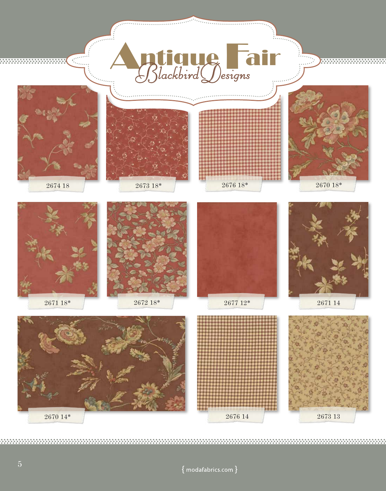

 ${ \n }$  modafabrics.com  ${ \}$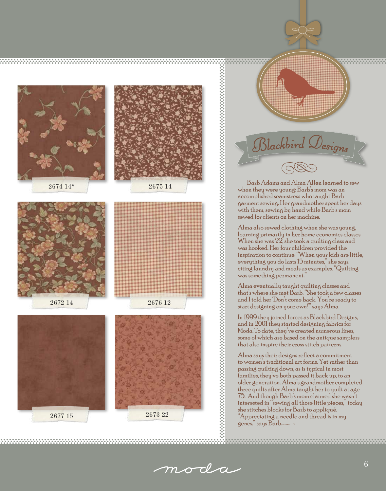



. . . . . . . . . . . . . . . . . .

when they were young: Barb's mom was an accomplished seamstress who taught Barb garment sewing. Her grandmother spent her days with them, sewing by hand while Barb's mom sewed for clients on her machine.

Alma also sewed clothing when she was young, learning primarily in her home economics classes. When she was  $22$ , she took a quilting class and was hooked. Her four children provided the inspiration to continue. "When your kids are little, everything you do lasts 15 minutes," she says, citing laundry and meals as examples. "Quilting was something permanent. $\dot{ }$ 

Alma eventually taught quilting classes and that's where she met Barb. "She took a few classes and I told her 'Don't come back. You're ready to start designing on your own!'" says Alma.

In 1999 they joined forces as Blackbird Designs, and in 2001 they started designing fabrics for Moda. To date, they've created numerous lines, some of which are based on the antique samplers that also inspire their cross stitch patterns.

Alma says their designs reflect a commitment to women's traditional art forms. Yet rather than passing quilting down, as is typical in most families, they've both passed it back up, to an older generation. Alma's grandmother completed three quilts after Alma taught her to quilt at age 75. And though Barb's mom claimed she wasn't interested in "sewing all those little pieces," today she stitches blocks for Barb to appliqué. "Appreciating a needle and thread is in my genes," says Barb.

moda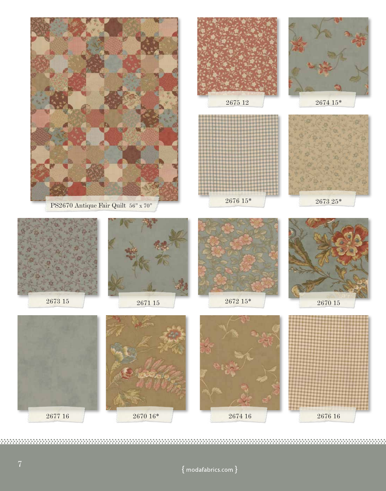

 ${modafabrics.com}$